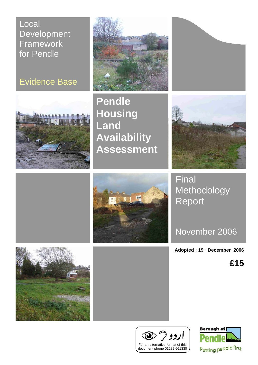Local **Development Framework** for Pendle







**Pendle Housing Land Availability Assessment** 



**Final** Methodology Report

November 2006

**Adopted : 19th December 2006**

**£15**







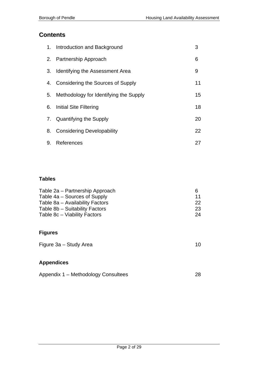## **Contents**

|    | 1. Introduction and Background            | 3  |
|----|-------------------------------------------|----|
|    | 2. Partnership Approach                   | 6  |
|    | 3. Identifying the Assessment Area        | 9  |
|    | 4. Considering the Sources of Supply      | 11 |
|    | 5. Methodology for Identifying the Supply | 15 |
|    | 6. Initial Site Filtering                 | 18 |
|    | 7. Quantifying the Supply                 | 20 |
|    | 8. Considering Developability             | 22 |
| 9. | References                                | 27 |

## **Tables**

| Table 2a – Partnership Approach | 6               |
|---------------------------------|-----------------|
| Table 4a – Sources of Supply    | 11              |
| Table 8a - Availability Factors | 22 <sub>1</sub> |
| Table 8b – Suitability Factors  | <b>23</b>       |
| Table 8c – Viability Factors    | 24              |

## **Figures**

| Figure 3a - Study Area |  |
|------------------------|--|
|------------------------|--|

## **Appendices**

|  | Appendix 1 - Methodology Consultees |  |
|--|-------------------------------------|--|
|--|-------------------------------------|--|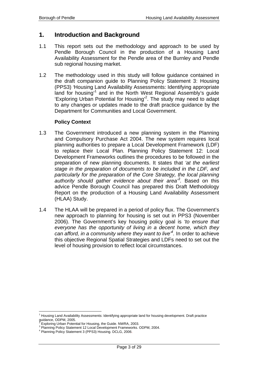## **1. Introduction and Background**

- 1.1 This report sets out the methodology and approach to be used by Pendle Borough Council in the production of a Housing Land Availability Assessment for the Pendle area of the Burnley and Pendle sub regional housing market.
- 1.2 The methodology used in this study will follow guidance contained in the draft companion guide to Planning Policy Statement 3: Housing (PPS3) *'*Housing Land Availability Assessments: Identifying appropriate land for housing<sup>1</sup> and in the North West Regional Assembly's guide 'Exploring Urban Potential for Housing'<sup>2</sup> . The study may need to adapt to any changes or updates made to the draft practice guidance by the Department for Communities and Local Government.

#### **Policy Context**

- 1.3 The Government introduced a new planning system in the Planning and Compulsory Purchase Act 2004. The new system requires local planning authorities to prepare a Local Development Framework (LDF) to replace their Local Plan. Planning Policy Statement 12: Local Development Frameworks outlines the procedures to be followed in the preparation of new planning documents. It states that *'at the earliest stage in the preparation of documents to be included in the LDF, and particularly for the preparation of the Core Strategy, the local planning authority should gather evidence about their area'<sup>3</sup> .* Based on this advice Pendle Borough Council has prepared this Draft Methodology Report on the production of a Housing Land Availability Assessment (HLAA) Study.
- 1.4 The HLAA will be prepared in a period of policy flux. The Government's new approach to planning for housing is set out in PPS3 (November 2006). The Government's key housing policy goal is *'to ensure that everyone has the opportunity of living in a decent home, which they can afford, in a community where they want to live'4 .* In order to achieve this objective Regional Spatial Strategies and LDFs need to set out the level of housing provision to reflect local circumstances.

 $\overline{a}$ 

<sup>&</sup>lt;sup>1</sup> Housing Land Availability Assessments: Identifying appropriate land for housing development. Draft practice guidance, ODPM, 2005.<br><sup>2</sup> Evrleting Uthen Petert

Exploring Urban Potential for Housing, the Guide. NWRA, 2003.

<sup>&</sup>lt;sup>3</sup> Planning Policy Statement 12 Local Development Frameworks. ODPM, 2004.

<sup>4</sup> Planning Policy Statement 3 (PPS3) Housing. DCLG, 2006.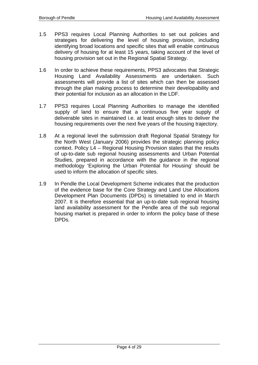- 1.5 PPS3 requires Local Planning Authorities to set out policies and strategies for delivering the level of housing provision, including identifying broad locations and specific sites that will enable continuous delivery of housing for at least 15 years, taking account of the level of housing provision set out in the Regional Spatial Strategy.
- 1.6 In order to achieve these requirements, PPS3 advocates that Strategic Housing Land Availability Assessments are undertaken. Such assessments will provide a list of sites which can then be assessed through the plan making process to determine their developability and their potential for inclusion as an allocation in the LDF.
- 1.7 PPS3 requires Local Planning Authorities to manage the identified supply of land to ensure that a continuous five year supply of deliverable sites in maintained i.e. at least enough sites to deliver the housing requirements over the next five years of the housing trajectory.
- 1.8 At a regional level the submission draft Regional Spatial Strategy for the North West (January 2006) provides the strategic planning policy context. Policy L4 – Regional Housing Provision states that the results of up-to-date sub regional housing assessments and Urban Potential Studies, prepared in accordance with the guidance in the regional methodology 'Exploring the Urban Potential for Housing' should be used to inform the allocation of specific sites.
- 1.9 In Pendle the Local Development Scheme indicates that the production of the evidence base for the Core Strategy and Land Use Allocations Development Plan Documents (DPDs) is timetabled to end in March 2007. It is therefore essential that an up-to-date sub regional housing land availability assessment for the Pendle area of the sub regional housing market is prepared in order to inform the policy base of these DPDs.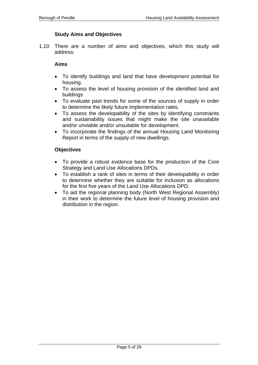#### **Study Aims and Objectives**

1.10 There are a number of aims and objectives, which this study will address:

#### **Aims**

- To identify buildings and land that have development potential for housing.
- To assess the level of housing provision of the identified land and buildings
- To evaluate past trends for some of the sources of supply in order to determine the likely future implementation rates.
- To assess the developability of the sites by identifying constraints and sustainability issues that might make the site unavailable and/or unviable and/or unsuitable for development.
- To incorporate the findings of the annual Housing Land Monitoring Report in terms of the supply of new dwellings.

#### **Objectives**

- To provide a robust evidence base for the production of the Core Strategy and Land Use Allocations DPDs.
- To establish a rank of sites in terms of their developability in order to determine whether they are suitable for inclusion as allocations for the first five years of the Land Use Allocations DPD.
- To aid the regional planning body (North West Regional Assembly) in their work to determine the future level of housing provision and distribution in the region.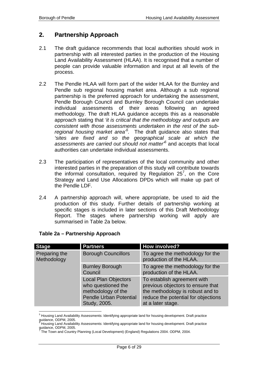## **2. Partnership Approach**

- 2.1 The draft guidance recommends that local authorities should work in partnership with all interested parties in the production of the Housing Land Availability Assessment (HLAA). It is recognised that a number of people can provide valuable information and input at all levels of the process.
- 2.2 The Pendle HLAA will form part of the wider HLAA for the Burnley and Pendle sub regional housing market area. Although a sub regional partnership is the preferred approach for undertaking the assessment, Pendle Borough Council and Burnley Borough Council can undertake individual assessments of their areas following an agreed methodology. The draft HLAA guidance accepts this as a reasonable approach stating that *'it is critical that the methodology and outputs are consistent with those assessments undertaken in the rest of the subregional housing market area'5 .* The draft guidance also states that *'sites are fixed and so the geographical scale at which the assessments are carried out should not matter'<sup>6</sup>* and accepts that local authorities can undertake individual assessments.
- 2.3 The participation of representatives of the local community and other interested parties in the preparation of this study will contribute towards the informal consultation, required by Regulation  $25^7$ , on the Core Strategy and Land Use Allocations DPDs which will make up part of the Pendle LDF.
- 2.4 A partnership approach will, where appropriate, be used to aid the production of this study. Further details of partnership working at specific stages is included in later sections of this Draft Methodology Report. The stages where partnership working will apply are summarised in Table 2a below.

| <b>Stage</b>                 | <b>Partners</b>                                                                                                          | <b>How involved?</b>                                                                                                                                             |
|------------------------------|--------------------------------------------------------------------------------------------------------------------------|------------------------------------------------------------------------------------------------------------------------------------------------------------------|
| Preparing the<br>Methodology | <b>Borough Councillors</b>                                                                                               | To agree the methodology for the<br>production of the HLAA.                                                                                                      |
|                              | <b>Burnley Borough</b><br>Council                                                                                        | To agree the methodology for the<br>production of the HLAA.                                                                                                      |
|                              | <b>Local Plan Objectors</b><br>who questioned the<br>methodology of the<br><b>Pendle Urban Potential</b><br>Study, 2005. | To establish agreement with<br>previous objectors to ensure that<br>the methodology is robust and to<br>reduce the potential for objections<br>at a later stage. |

#### **Table 2a – Partnership Approach**

 5 Housing Land Availability Assessments: Identifying appropriate land for housing development. Draft practice guidance, ODPM, 2005.<br><sup>6</sup> Unusing Land Availabili

Housing Land Availability Assessments: Identifying appropriate land for housing development. Draft practice

guidance, ODPM, 2005. 7 The Town and Country Planning (Local Development) (England) Regulations 2004. ODPM, 2004.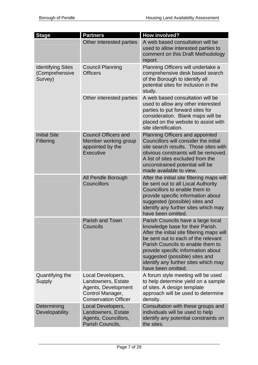| <b>Stage</b>                                          | <b>Partners</b>                                                                                                   | How involved?                                                                                                                                                                                                                                                                                                                          |
|-------------------------------------------------------|-------------------------------------------------------------------------------------------------------------------|----------------------------------------------------------------------------------------------------------------------------------------------------------------------------------------------------------------------------------------------------------------------------------------------------------------------------------------|
|                                                       | Other interested parties                                                                                          | A web based consultation will be<br>used to allow interested parties to<br>comment on this Draft Methodology<br>report.                                                                                                                                                                                                                |
| <b>Identifying Sites</b><br>(Comprehensive<br>Survey) | <b>Council Planning</b><br><b>Officers</b>                                                                        | Planning Officers will undertake a<br>comprehensive desk based search<br>of the Borough to identify all<br>potential sites for inclusion in the<br>study.                                                                                                                                                                              |
|                                                       | Other interested parties                                                                                          | A web based consultation will be<br>used to allow any other interested<br>parties to put forward sites for<br>consideration. Blank maps will be<br>placed on the website to assist with<br>site identification.                                                                                                                        |
| <b>Initial Site</b><br><b>Filtering</b>               | <b>Council Officers and</b><br>Member working group<br>appointed by the<br>Executive                              | Planning Officers and appointed<br>Councillors will consider the initial<br>site search results. Those sites with<br>obvious constraints will be removed.<br>A list of sites excluded from the<br>unconstrained potential will be<br>made available to view.                                                                           |
|                                                       | All Pendle Borough<br>Councillors                                                                                 | After the initial site filtering maps will<br>be sent out to all Local Authority<br>Councillors to enable them to<br>provide specific information about<br>suggested (possible) sites and<br>identify any further sites which may<br>have been omitted.                                                                                |
|                                                       | Parish and Town<br>Councils                                                                                       | Parish Councils have a large local<br>knowledge base for their Parish.<br>After the initial site filtering maps will<br>be sent out to each of the relevant<br>Parish Councils to enable them to<br>provide specific information about<br>suggested (possible) sites and<br>identify any further sites which may<br>have been omitted. |
| Quantifying the<br><b>Supply</b>                      | Local Developers,<br>Landowners, Estate<br>Agents, Development<br>Control Manager,<br><b>Conservation Officer</b> | A forum style meeting will be used<br>to help determine yield on a sample<br>of sites. A design template<br>approach will be used to determine<br>density.                                                                                                                                                                             |
| Determining<br><b>Developability</b>                  | Local Developers,<br>Landowners, Estate<br>Agents, Councillors,<br>Parish Councils,                               | Consultation with these groups and<br>individuals will be used to help<br>identify any potential constraints on<br>the sites.                                                                                                                                                                                                          |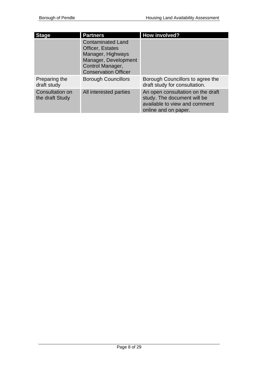| <b>Stage</b>                       | <b>Partners</b>                                                                                                                              | How involved?                                                                                                             |
|------------------------------------|----------------------------------------------------------------------------------------------------------------------------------------------|---------------------------------------------------------------------------------------------------------------------------|
|                                    | <b>Contaminated Land</b><br>Officer, Estates<br>Manager, Highways<br>Manager, Development<br>Control Manager,<br><b>Conservation Officer</b> |                                                                                                                           |
| Preparing the<br>draft study       | <b>Borough Councillors</b>                                                                                                                   | Borough Councillors to agree the<br>draft study for consultation.                                                         |
| Consultation on<br>the draft Study | All interested parties                                                                                                                       | An open consultation on the draft<br>study. The document will be<br>available to view and comment<br>online and on paper. |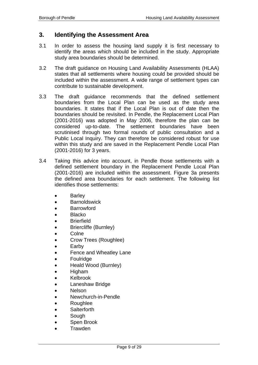### **3. Identifying the Assessment Area**

- 3.1 In order to assess the housing land supply it is first necessary to identify the areas which should be included in the study. Appropriate study area boundaries should be determined.
- 3.2 The draft guidance on Housing Land Availability Assessments (HLAA) states that all settlements where housing could be provided should be included within the assessment. A wide range of settlement types can contribute to sustainable development.
- 3.3 The draft guidance recommends that the defined settlement boundaries from the Local Plan can be used as the study area boundaries. It states that if the Local Plan is out of date then the boundaries should be revisited. In Pendle, the Replacement Local Plan (2001-2016) was adopted in May 2006, therefore the plan can be considered up-to-date. The settlement boundaries have been scrutinised through two formal rounds of public consultation and a Public Local Inquiry. They can therefore be considered robust for use within this study and are saved in the Replacement Pendle Local Plan (2001-2016) for 3 years.
- 3.4 Taking this advice into account, in Pendle those settlements with a defined settlement boundary in the Replacement Pendle Local Plan (2001-2016) are included within the assessment. Figure 3a presents the defined area boundaries for each settlement. The following list identifies those settlements:
	- Barley
	- Barnoldswick
	- Barrowford
	- Blacko
	- Brierfield
	- Briercliffe (Burnley)
	- Colne
	- Crow Trees (Roughlee)
	- Earby
	- Fence and Wheatley Lane
	- **Foulridge**
	- Heald Wood (Burnley)
	- Higham
	- Kelbrook
	- Laneshaw Bridge
	- Nelson
	- Newchurch-in-Pendle
	- Roughlee
	- Salterforth
	- Sough
	- Spen Brook
	- Trawden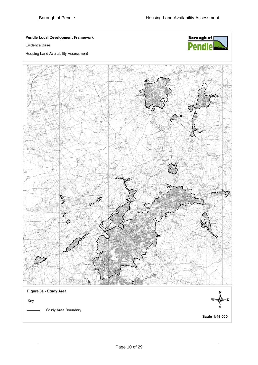**Pendle Local Development Framework** 

Evidence Base





 $\mathbb{A}^{\circ}$ Ò Figure 3a - Study Area Key Study Area Boundary

Scale 1:46,000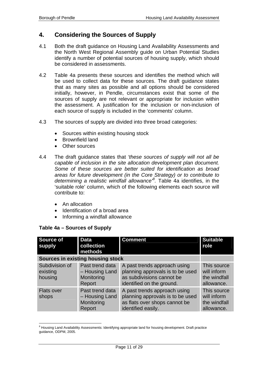## **4. Considering the Sources of Supply**

- 4.1 Both the draft guidance on Housing Land Availability Assessments and the North West Regional Assembly guide on Urban Potential Studies identify a number of potential sources of housing supply, which should be considered in assessments.
- 4.2 Table 4a presents these sources and identifies the method which will be used to collect data for these sources. The draft guidance states that as many sites as possible and all options should be considered initially, however, in Pendle, circumstances exist that some of the sources of supply are not relevant or appropriate for inclusion within the assessment. A justification for the inclusion or non-inclusion of each source of supply is included in the 'comments' column.
- 4.3 The sources of supply are divided into three broad categories:
	- Sources within existing housing stock
	- Brownfield land
	- Other sources
- 4.4 The draft guidance states that *'these sources of supply will not all be capable of inclusion in the site allocation development plan document. Some of these sources are better suited for identification as broad areas for future development (in the Core Strategy) or to contribute to determining a realistic windfall allowance'<sup>8</sup> .* Table 4a identifies, in the 'suitable role' column, which of the following elements each source will contribute to:
	- An allocation
	- Identification of a broad area
	- Informing a windfall allowance

| <b>Source of</b><br>supply            | <b>Data</b><br>collection<br>methods                      | <b>Comment</b>                                                                                                             | <b>Suitable</b><br>role                                  |
|---------------------------------------|-----------------------------------------------------------|----------------------------------------------------------------------------------------------------------------------------|----------------------------------------------------------|
|                                       | Sources in existing housing stock                         |                                                                                                                            |                                                          |
| Subdivision of<br>existing<br>housing | Past trend data<br>- Housing Land<br>Monitoring<br>Report | A past trends approach using<br>planning approvals is to be used<br>as subdivisions cannot be<br>identified on the ground. | This source<br>will inform<br>the windfall<br>allowance. |
| <b>Flats over</b><br>shops            | Past trend data<br>- Housing Land<br>Monitoring<br>Report | A past trends approach using<br>planning approvals is to be used<br>as flats over shops cannot be<br>identified easily.    | This source<br>will inform<br>the windfall<br>allowance. |

#### **Table 4a – Sources of Supply**

enderstyle and Availability Assessments: Identifying appropriate land for housing development. Draft practice<br>Butling Land Availability Assessments: Identifying appropriate land for housing development. Draft practice guidance, ODPM, 2005.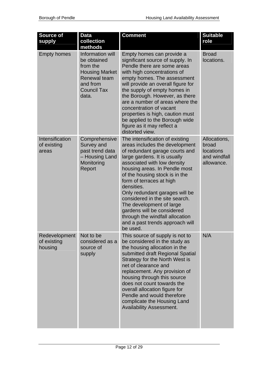| <b>Source of</b><br>supply              | <b>Data</b><br>collection<br>methods                                                                                                   | <b>Comment</b>                                                                                                                                                                                                                                                                                                                                                                                                                                                                                  | <b>Suitable</b><br>role                                          |
|-----------------------------------------|----------------------------------------------------------------------------------------------------------------------------------------|-------------------------------------------------------------------------------------------------------------------------------------------------------------------------------------------------------------------------------------------------------------------------------------------------------------------------------------------------------------------------------------------------------------------------------------------------------------------------------------------------|------------------------------------------------------------------|
| <b>Empty homes</b>                      | Information will<br>be obtained<br>from the<br><b>Housing Market</b><br><b>Renewal team</b><br>and from<br><b>Council Tax</b><br>data. | Empty homes can provide a<br>significant source of supply. In<br>Pendle there are some areas<br>with high concentrations of<br>empty homes. The assessment<br>will provide an overall figure for<br>the supply of empty homes in<br>the Borough. However, as there<br>are a number of areas where the<br>concentration of vacant<br>properties is high, caution must<br>be applied to the Borough wide<br>figure as it may reflect a<br>distorted view.                                         | <b>Broad</b><br>locations.                                       |
| Intensification<br>of existing<br>areas | Comprehensive<br>Survey and<br>past trend data<br>- Housing Land<br>Monitoring<br>Report                                               | The intensification of existing<br>areas includes the development<br>of redundant garage courts and<br>large gardens. It is usually<br>associated with low density<br>housing areas. In Pendle most<br>of the housing stock is in the<br>form of terraces at high<br>densities.<br>Only redundant garages will be<br>considered in the site search.<br>The development of large<br>gardens will be considered<br>through the windfall allocation<br>and a past trends approach will<br>be used. | Allocations,<br>broad<br>locations<br>and windfall<br>allowance. |
| Redevelopment<br>of existing<br>housing | Not to be<br>considered as a<br>source of<br>supply                                                                                    | This source of supply is not to<br>be considered in the study as<br>the housing allocation in the<br>submitted draft Regional Spatial<br>Strategy for the North West is<br>net of clearance and<br>replacement. Any provision of<br>housing through this source<br>does not count towards the<br>overall allocation figure for<br>Pendle and would therefore<br>complicate the Housing Land<br><b>Availability Assessment.</b>                                                                  | N/A                                                              |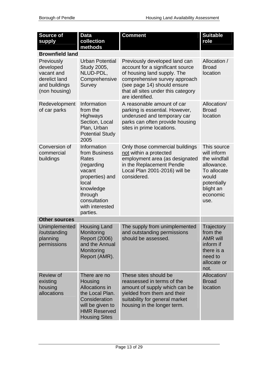| <b>Source of</b><br>supply                                                               | <b>Data</b><br>collection<br>methods                                                                                                                             | <b>Comment</b>                                                                                                                                                                                                            | <b>Suitable</b><br>role                                                                                                          |
|------------------------------------------------------------------------------------------|------------------------------------------------------------------------------------------------------------------------------------------------------------------|---------------------------------------------------------------------------------------------------------------------------------------------------------------------------------------------------------------------------|----------------------------------------------------------------------------------------------------------------------------------|
| <b>Brownfield land</b>                                                                   |                                                                                                                                                                  |                                                                                                                                                                                                                           |                                                                                                                                  |
| Previously<br>developed<br>vacant and<br>derelict land<br>and buildings<br>(non housing) | <b>Urban Potential</b><br>Study 2005,<br>NLUD-PDL,<br>Comprehensive<br>Survey                                                                                    | Previously developed land can<br>account for a significant source<br>of housing land supply. The<br>comprehensive survey approach<br>(see page 14) should ensure<br>that all sites under this category<br>are identified. | Allocation /<br><b>Broad</b><br>location                                                                                         |
| Redevelopment<br>of car parks                                                            | Information<br>from the<br>Highways<br>Section, Local<br>Plan, Urban<br><b>Potential Study</b><br>2005                                                           | A reasonable amount of car<br>parking is essential. However,<br>underused and temporary car<br>parks can often provide housing<br>sites in prime locations.                                                               | Allocation/<br><b>Broad</b><br>location                                                                                          |
| Conversion of<br>commercial<br>buildings                                                 | Information<br>from Business<br>Rates<br>(regarding<br>vacant<br>properties) and<br>local<br>knowledge<br>through<br>consultation<br>with interested<br>parties. | Only those commercial buildings<br>not within a protected<br>employment area (as designated<br>in the Replacement Pendle<br>Local Plan 2001-2016) will be<br>considered.                                                  | This source<br>will inform<br>the windfall<br>allowance.<br>To allocate<br>would<br>potentially<br>blight an<br>economic<br>use. |
| <b>Other sources</b>                                                                     |                                                                                                                                                                  |                                                                                                                                                                                                                           |                                                                                                                                  |
| Unimplemented<br>/outstanding<br>planning<br>permissions                                 | <b>Housing Land</b><br>Monitoring<br><b>Report (2006)</b><br>and the Annual<br>Monitoring<br>Report (AMR).                                                       | The supply from unimplemented<br>and outstanding permissions<br>should be assessed.                                                                                                                                       | Trajectory<br>from the<br><b>AMR will</b><br>inform if<br>there is a<br>need to<br>allocate or<br>not.                           |
| <b>Review of</b><br>existing<br>housing<br>allocations                                   | There are no<br>Housing<br>Allocations in<br>the Local Plan.<br>Consideration<br>will be given to<br><b>HMR Reserved</b><br><b>Housing Sites</b>                 | These sites should be<br>reassessed in terms of the<br>amount of supply which can be<br>yielded from them and their<br>suitability for general market<br>housing in the longer term.                                      | Allocation/<br><b>Broad</b><br>location                                                                                          |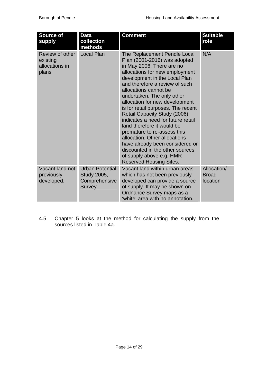| <b>Source of</b><br>supply                             | <b>Data</b><br>collection<br>methods                             | Comment                                                                                                                                                                                                                                                                                                                                                                                                                                                                                                                                                                                                                               | <b>Suitable</b><br>role                 |
|--------------------------------------------------------|------------------------------------------------------------------|---------------------------------------------------------------------------------------------------------------------------------------------------------------------------------------------------------------------------------------------------------------------------------------------------------------------------------------------------------------------------------------------------------------------------------------------------------------------------------------------------------------------------------------------------------------------------------------------------------------------------------------|-----------------------------------------|
| Review of other<br>existing<br>allocations in<br>plans | <b>Local Plan</b>                                                | The Replacement Pendle Local<br>Plan (2001-2016) was adopted<br>in May 2006. There are no<br>allocations for new employment<br>development in the Local Plan<br>and therefore a review of such<br>allocations cannot be<br>undertaken. The only other<br>allocation for new development<br>is for retail purposes. The recent<br>Retail Capacity Study (2006)<br>indicates a need for future retail<br>land therefore it would be<br>premature to re-assess this<br>allocation. Other allocations<br>have already been considered or<br>discounted in the other sources<br>of supply above e.g. HMR<br><b>Reserved Housing Sites.</b> | N/A                                     |
| Vacant land not<br>previously<br>developed.            | <b>Urban Potential</b><br>Study 2005,<br>Comprehensive<br>Survey | Vacant land within urban areas<br>which has not been previously<br>developed can provide a source<br>of supply. It may be shown on<br>Ordnance Survey maps as a<br>'white' area with no annotation.                                                                                                                                                                                                                                                                                                                                                                                                                                   | Allocation/<br><b>Broad</b><br>location |

4.5 Chapter 5 looks at the method for calculating the supply from the sources listed in Table 4a.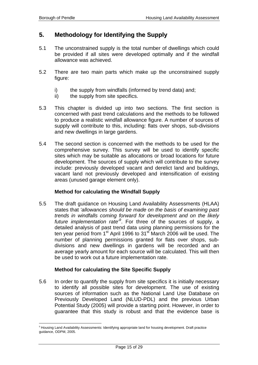$\overline{a}$ 

## **5. Methodology for Identifying the Supply**

- 5.1 The unconstrained supply is the total number of dwellings which could be provided if all sites were developed optimally and if the windfall allowance was achieved.
- 5.2 There are two main parts which make up the unconstrained supply figure:
	- i) the supply from windfalls (informed by trend data) and;
	- ii) the supply from site specifics.
- 5.3 This chapter is divided up into two sections. The first section is concerned with past trend calculations and the methods to be followed to produce a realistic windfall allowance figure. A number of sources of supply will contribute to this, including: flats over shops, sub-divisions and new dwellings in large gardens.
- 5.4 The second section is concerned with the methods to be used for the comprehensive survey. This survey will be used to identify specific sites which may be suitable as allocations or broad locations for future development. The sources of supply which will contribute to the survey include: previously developed vacant and derelict land and buildings, vacant land not previously developed and intensification of existing areas (unused garage element only).

#### **Method for calculating the Windfall Supply**

5.5 The draft guidance on Housing Land Availability Assessments (HLAA) states that *'allowances should be made on the basis of examining past trends in windfalls coming forward for development and on the likely*  future implementation rate<sup>9</sup>. For three of the sources of supply, a detailed analysis of past trend data using planning permissions for the ten year period from 1<sup>st</sup> April 1996 to 31<sup>st</sup> March 2006 will be used. The number of planning permissions granted for flats over shops, subdivisions and new dwellings in gardens will be recorded and an average yearly amount for each source will be calculated. This will then be used to work out a future implementation rate.

#### **Method for calculating the Site Specific Supply**

5.6 In order to quantify the supply from site specifics it is initially necessary to identify all possible sites for development. The use of existing sources of information such as the National Land Use Database on Previously Developed Land (NLUD-PDL) and the previous Urban Potential Study (2005) will provide a starting point. However, in order to guarantee that this study is robust and that the evidence base is

<sup>&</sup>lt;sup>9</sup> Housing Land Availability Assessments: Identifying appropriate land for housing development. Draft practice guidance, ODPM, 2005.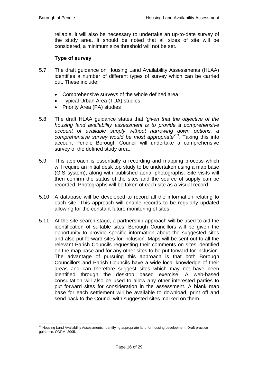reliable, it will also be necessary to undertake an up-to-date survey of the study area. It should be noted that all sizes of site will be considered, a minimum size threshold will not be set.

#### **Type of survey**

- 5.7 The draft guidance on Housing Land Availability Assessments (HLAA) identifies a number of different types of survey which can be carried out. These include:
	- Comprehensive surveys of the whole defined area
	- Typical Urban Area (TUA) studies
	- Priority Area (PA) studies
- 5.8 The draft HLAA guidance states that *'given that the objective of the housing land availability assessment is to provide a comprehensive account of available supply without narrowing down options, a comprehensive survey would be most appropriate'10.* Taking this into account Pendle Borough Council will undertake a comprehensive survey of the defined study area.
- 5.9 This approach is essentially a recording and mapping process which will require an initial desk top study to be undertaken using a map base (GIS system), along with published aerial photographs. Site visits will then confirm the status of the sites and the source of supply can be recorded. Photographs will be taken of each site as a visual record.
- 5.10 A database will be developed to record all the information relating to each site. This approach will enable records to be regularly updated allowing for the constant future monitoring of sites.
- 5.11 At the site search stage, a partnership approach will be used to aid the identification of suitable sites. Borough Councillors will be given the opportunity to provide specific information about the suggested sites and also put forward sites for inclusion. Maps will be sent out to all the relevant Parish Councils requesting their comments on sites identified on the map base and for any other sites to be put forward for inclusion. The advantage of pursuing this approach is that both Borough Councillors and Parish Councils have a wide local knowledge of their areas and can therefore suggest sites which may not have been identified through the desktop based exercise. A web-based consultation will also be used to allow any other interested parties to put forward sites for consideration in the assessment. A blank map base for each settlement will be available to download, print off and send back to the Council with suggested sites marked on them.

 $\overline{a}$ <sup>10</sup> Housing Land Availability Assessments: Identifying appropriate land for housing development. Draft practice guidance, ODPM, 2005.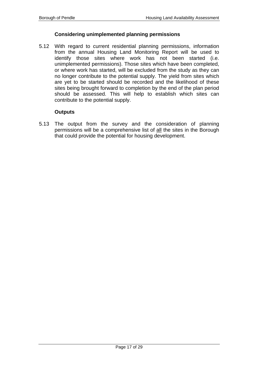#### **Considering unimplemented planning permissions**

5.12 With regard to current residential planning permissions, information from the annual Housing Land Monitoring Report will be used to identify those sites where work has not been started (i.e. unimplemented permissions). Those sites which have been completed, or where work has started, will be excluded from the study as they can no longer contribute to the potential supply. The yield from sites which are yet to be started should be recorded and the likelihood of these sites being brought forward to completion by the end of the plan period should be assessed. This will help to establish which sites can contribute to the potential supply.

#### **Outputs**

5.13 The output from the survey and the consideration of planning permissions will be a comprehensive list of all the sites in the Borough that could provide the potential for housing development.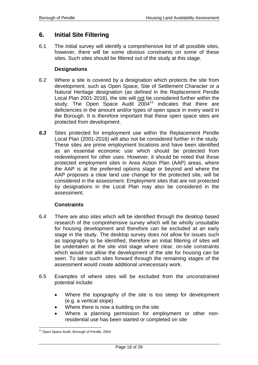## **6. Initial Site Filtering**

6.1 The initial survey will identify a comprehensive list of all possible sites, however, there will be some obvious constraints on some of these sites. Such sites should be filtered out of the study at this stage.

#### **Designations**

- 6.2 Where a site is covered by a designation which protects the site from development, such as Open Space, Site of Settlement Character or a Natural Heritage designation (as defined in the Replacement Pendle Local Plan 2001-2016), the site will not be considered further within the study. The Open Space Audit  $2004<sup>11</sup>$  indicates that there are deficiencies in the amount and/or types of open space in every ward in the Borough. It is therefore important that these open space sites are protected from development.
- *6.3* Sites protected for employment use within the Replacement Pendle Local Plan (2001-2016) will also not be considered further in the study. These sites are prime employment locations and have been identified as an essential economic use which should be protected from redevelopment for other uses. However, it should be noted that those protected employment sites in Area Action Plan (AAP) areas, where the AAP is at the preferred options stage or beyond and where the AAP proposes a clear land use change for the protected site, will be considered in the assessment. Employment sites that are not protected by designations in the Local Plan may also be considered in the assessment.

#### **Constraints**

- 6.4 There are also sites which will be identified through the desktop based research of the comprehensive survey which will be wholly unsuitable for housing development and therefore can be excluded at an early stage in the study. The desktop survey does not allow for issues such as topography to be identified, therefore an initial filtering of sites will be undertaken at the site visit stage where clear, on-site constraints which would not allow the development of the site for housing can be seen. To take such sites forward through the remaining stages of the assessment would create additional unnecessary work.
- 6.5 Examples of where sites will be excluded from the unconstrained potential include:
	- Where the topography of the site is too steep for development (e.g. a vertical slope)
	- Where there is now a building on the site
	- Where a planning permission for employment or other nonresidential use has been started or completed on site

 $\overline{a}$ <sup>11</sup> Open Space Audit, Borough of Pendle, 2004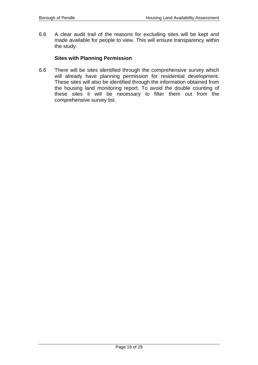6.6 A clear audit trail of the reasons for excluding sites will be kept and made available for people to view. This will ensure transparency within the study.

#### **Sites with Planning Permission**

6.6 There will be sites identified through the comprehensive survey which will already have planning permission for residential development. These sites will also be identified through the information obtained from the housing land monitoring report. To avoid the double counting of these sites it will be necessary to filter them out from the comprehensive survey list.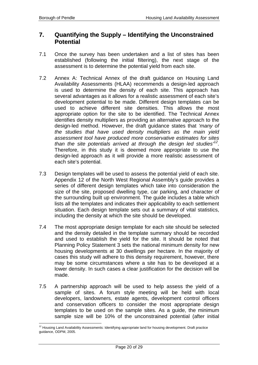### **7. Quantifying the Supply – Identifying the Unconstrained Potential**

- 7.1 Once the survey has been undertaken and a list of sites has been established (following the initial filtering), the next stage of the assessment is to determine the potential yield from each site.
- 7.2 Annex A: Technical Annex of the draft guidance on Housing Land Availability Assessments (HLAA) recommends a design-led approach is used to determine the density of each site. This approach has several advantages as it allows for a realistic assessment of each site's development potential to be made. Different design templates can be used to achieve different site densities. This allows the most appropriate option for the site to be identified. The Technical Annex identifies density multipliers as providing an alternative approach to the design-led method. However, the draft guidance states that *'many of the studies that have used density multipliers as the main yield assessment tool have produced more conservative estimates for sites than the site potentials arrived at through the design led studies'<sup>12</sup>*. Therefore, in this study it is deemed more appropriate to use the design-led approach as it will provide a more realistic assessment of each site's potential.
- 7.3 Design templates will be used to assess the potential yield of each site. Appendix 12 of the North West Regional Assembly's guide provides a series of different design templates which take into consideration the size of the site, proposed dwelling type, car parking, and character of the surrounding built up environment. The guide includes a table which lists all the templates and indicates their applicability to each settlement situation. Each design template sets out a summary of vital statistics, including the density at which the site should be developed.
- 7.4 The most appropriate design template for each site should be selected and the density detailed in the template summary should be recorded and used to establish the yield for the site. It should be noted that Planning Policy Statement 3 sets the national minimum density for new housing developments at 30 dwellings per hectare. In the majority of cases this study will adhere to this density requirement, however, there may be some circumstances where a site has to be developed at a lower density. In such cases a clear justification for the decision will be made.
- 7.5 A partnership approach will be used to help assess the yield of a sample of sites. A forum style meeting will be held with local developers, landowners, estate agents, development control officers and conservation officers to consider the most appropriate design templates to be used on the sample sites. As a guide, the minimum sample size will be 10% of the unconstrained potential (after initial

 $\overline{a}$  $12$  Housing Land Availability Assessments: Identifying appropriate land for housing development. Draft practice guidance, ODPM, 2005.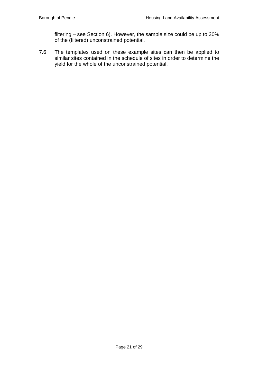filtering – see Section 6). However, the sample size could be up to 30% of the (filtered) unconstrained potential.

7.6 The templates used on these example sites can then be applied to similar sites contained in the schedule of sites in order to determine the yield for the whole of the unconstrained potential.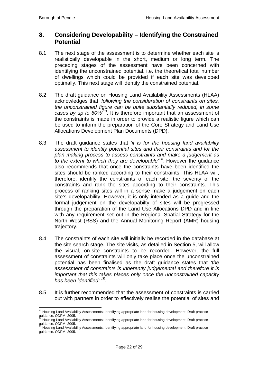## **8. Considering Developability – Identifying the Constrained Potential**

- 8.1 The next stage of the assessment is to determine whether each site is realistically developable in the short, medium or long term. The preceding stages of the assessment have been concerned with identifying the unconstrained potential. i.e. the theoretical total number of dwellings which could be provided if each site was developed optimally. This next stage will identify the constrained potential.
- 8.2 The draft guidance on Housing Land Availability Assessments (HLAA) acknowledges that *'following the consideration of constraints on sites, the unconstrained figure can be quite substantially reduced, in some cases by up to 60%'13*. It is therefore important that an assessment of the constraints is made in order to provide a realistic figure which can be used to inform the preparation of the Core Strategy and Land Use Allocations Development Plan Documents (DPD).
- 8.3 The draft guidance states that *'it is for the housing land availability assessment to identify potential sites and their constraints and for the plan making process to assess constraints and make a judgement as to the extent to which they are developable'14.* However the guidance also recommends that once the constraints have been identified the sites should be ranked according to their constraints. This HLAA will, therefore, identify the constraints of each site, the severity of the constraints and rank the sites according to their constraints. This process of ranking sites will in a sense make a judgement on each site's developability. However, it is only intended as a guide and the formal judgement on the developabilty of sites will be progressed through the preparation of the Land Use Allocations DPD and in line with any requirement set out in the Regional Spatial Strategy for the North West (RSS) and the Annual Monitoring Report (AMR) housing trajectory.
- 8.4 The constraints of each site will initially be recorded in the database at the site search stage. The site visits, as detailed in Section 5, will allow the visual, on-site constraints to be recorded. However, the full assessment of constraints will only take place once the unconstrained potential has been finalised as the draft guidance states that *'the assessment of constraints is inherently judgemental and therefore it is important that this takes places only once the unconstrained capacity has been identified' 15.*
- 8.5 It is further recommended that the assessment of constraints is carried out with partners in order to effectively realise the potential of sites and

 $\overline{a}$ <sup>13</sup> Housing Land Availability Assessments: Identifying appropriate land for housing development. Draft practice guidance, ODPM, 2005.

<sup>14</sup> Housing Land Availability Assessments: Identifying appropriate land for housing development. Draft practice guidance, ODPM, 2005.

<sup>15</sup> Housing Land Availability Assessments: Identifying appropriate land for housing development. Draft practice guidance, ODPM, 2005.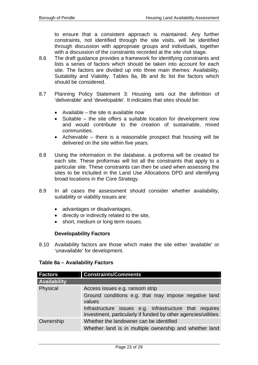to ensure that a consistent approach is maintained. Any further constraints, not identified through the site visits, will be identified through discussion with appropriate groups and individuals, together with a discussion of the constraints recorded at the site visit stage.

- 8.6 The draft guidance provides a framework for identifying constraints and lists a series of factors which should be taken into account for each site. The factors are divided up into three main themes: Availability, Suitability and Viability. Tables 8a, 8b and 8c list the factors which should be considered.
- 8.7 Planning Policy Statement 3: Housing sets out the definition of 'deliverable' and 'developable'. It indicates that sites should be:
	- Available the site is available now
	- Suitable the site offers a suitable location for development now and would contribute to the creation of sustainable, mixed communities.
	- Achievable there is a reasonable prospect that housing will be delivered on the site within five years.
- 8.8 Using the information in the database, a proforma will be created for each site. These proformas will list all the constraints that apply to a particular site. These constraints can then be used when assessing the sites to be included in the Land Use Allocations DPD and identifying broad locations in the Core Strategy.
- 8.9 In all cases the assessment should consider whether availability, suitability or viability issues are:
	- advantages or disadvantages,
	- directly or indirectly related to the site,
	- short, medium or long term issues.

#### **Developability Factors**

8.10 Availability factors are those which make the site either 'available' or 'unavailable' for development.

#### **Table 8a – Availability Factors**

| <b>Factors</b>      | <b>Constraints/Comments</b>                                                                                               |  |  |
|---------------------|---------------------------------------------------------------------------------------------------------------------------|--|--|
| <b>Availability</b> |                                                                                                                           |  |  |
| Physical            | Access issues e.g. ransom strip                                                                                           |  |  |
|                     | Ground conditions e.g. that may impose negative land<br>values                                                            |  |  |
|                     | Infrastructure issues e.g. infrastructure that requires<br>investment, particularly if funded by other agencies/utilities |  |  |
| Ownership           | Whether the landowner can be identified                                                                                   |  |  |
|                     | Whether land is in multiple ownership and whether land                                                                    |  |  |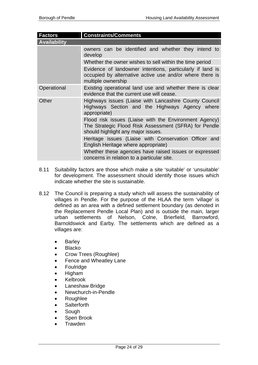| <b>Factors</b>      | <b>Constraints/Comments</b>                                                                                                                           |  |
|---------------------|-------------------------------------------------------------------------------------------------------------------------------------------------------|--|
| <b>Availability</b> |                                                                                                                                                       |  |
|                     | owners can be identified and whether they intend to<br>develop                                                                                        |  |
|                     | Whether the owner wishes to sell within the time period                                                                                               |  |
|                     | Evidence of landowner intentions, particularly if land is<br>occupied by alternative active use and/or where there is<br>multiple ownership           |  |
| Operational         | Existing operational land use and whether there is clear<br>evidence that the current use will cease.                                                 |  |
| Other               | Highways issues (Liaise with Lancashire County Council<br>Highways Section and the Highways Agency where<br>appropriate)                              |  |
|                     | Flood risk issues (Liaise with the Environment Agency)<br>The Strategic Flood Risk Assessment (SFRA) for Pendle<br>should highlight any major issues. |  |
|                     | Heritage issues (Liaise with Conservation Officer and<br>English Heritage where appropriate)                                                          |  |
|                     | Whether these agencies have raised issues or expressed<br>concerns in relation to a particular site.                                                  |  |

- 8.11 Suitability factors are those which make a site 'suitable' or 'unsuitable' for development. The assessment should identify those issues which indicate whether the site is sustainable.
- 8.12 The Council is preparing a study which will assess the sustainability of villages in Pendle. For the purpose of the HLAA the term 'village' is defined as an area with a defined settlement boundary (as denoted in the Replacement Pendle Local Plan) and is outside the main, larger urban settlements of Nelson, Colne, Brierfield, Barrowford, Barnoldswick and Earby. The settlements which are defined as a villages are:
	- Barley
	- Blacko
	- Crow Trees (Roughlee)
	- Fence and Wheatley Lane
	- Foulridge
	- Higham
	- Kelbrook
	- Laneshaw Bridge
	- Newchurch-in-Pendle
	- Roughlee
	- Salterforth
	- Sough
	- Spen Brook
	- Trawden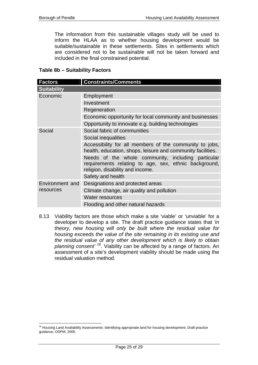The information from this sustainable villages study will be used to inform the HLAA as to whether housing development would be suitable/sustainable in these settlements. Sites in settlements which are considered not to be sustainable will not be taken forward and included in the final constrained potential.

#### **Table 8b – Suitability Factors**

| <b>Factors</b>               | <b>Constraints/Comments</b>                                                                                                                     |  |
|------------------------------|-------------------------------------------------------------------------------------------------------------------------------------------------|--|
| <b>Suitability</b>           |                                                                                                                                                 |  |
| Economic                     | Employment                                                                                                                                      |  |
|                              | Investment                                                                                                                                      |  |
|                              | Regeneration                                                                                                                                    |  |
|                              | Economic opportunity for local community and businesses                                                                                         |  |
|                              | Opportunity to innovate e.g. building technologies                                                                                              |  |
| Social                       | Social fabric of communities                                                                                                                    |  |
|                              | Social inequalities                                                                                                                             |  |
|                              | Accessibility for all members of the community to jobs,<br>health, education, shops, leisure and community facilities.                          |  |
|                              | Needs of the whole community, including particular<br>requirements relating to age, sex, ethnic background,<br>religion, disability and income. |  |
|                              | Safety and health                                                                                                                               |  |
| Environment and<br>resources | Designations and protected areas                                                                                                                |  |
|                              | Climate change, air quality and pollution                                                                                                       |  |
|                              | <b>Water resources</b>                                                                                                                          |  |
|                              | Flooding and other natural hazards                                                                                                              |  |

8.13 Viability factors are those which make a site 'viable' or 'unviable' for a developer to develop a site. The draft practice guidance states that *'in theory, new housing will only be built where the residual value for housing exceeds the value of the site remaining in its existing use and the residual value of any other development which is likely to obtain planning consent' 16.* Viability can be affected by a range of factors. An assessment of a site's development viability should be made using the residual valuation method.

 $\overline{a}$ <sup>16</sup> Housing Land Availability Assessments: Identifying appropriate land for housing development. Draft practice guidance, ODPM, 2005.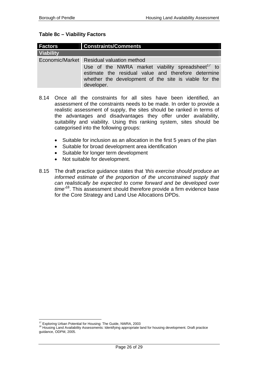#### **Table 8c – Viability Factors**

| <b>Factors</b>   | <b>Constraints/Comments</b>                                                                                                                                                                                                              |  |
|------------------|------------------------------------------------------------------------------------------------------------------------------------------------------------------------------------------------------------------------------------------|--|
| <b>Viability</b> |                                                                                                                                                                                                                                          |  |
|                  | Economic/Market Residual valuation method<br>Use of the NWRA market viability spreadsheet <sup>17</sup> to<br>estimate the residual value and therefore determine<br>whether the development of the site is viable for the<br>developer. |  |

- 8.14 Once all the constraints for all sites have been identified, an assessment of the constraints needs to be made. In order to provide a realistic assessment of supply, the sites should be ranked in terms of the advantages and disadvantages they offer under availability, suitability and viability. Using this ranking system, sites should be categorised into the following groups:
	- Suitable for inclusion as an allocation in the first 5 years of the plan
	- Suitable for broad development area identification
	- Suitable for longer term development
	- Not suitable for development.
- 8.15 The draft practice guidance states that *'this exercise should produce an informed estimate of the proportion of the unconstrained supply that can realistically be expected to come forward and be developed over time'*18. This assessment should therefore provide a firm evidence base for the Core Strategy and Land Use Allocations DPDs.

 $\overline{a}$ 

 $^{17}$  Exploring Urban Potential for Housing: The Guide, NWRA, 2003<br><sup>18</sup> Housing Land Availability Assessments: Identifying appropriate land for housing development. Draft practice guidance, ODPM, 2005.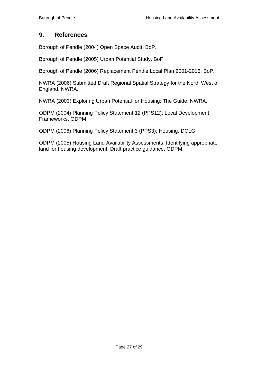## **9. References**

Borough of Pendle (2004) Open Space Audit. BoP.

Borough of Pendle (2005) Urban Potential Study. BoP.

Borough of Pendle (2006) Replacement Pendle Local Plan 2001-2016. BoP.

NWRA (2006) Submitted Draft Regional Spatial Strategy for the North West of England. NWRA.

NWRA (2003) Exploring Urban Potential for Housing: The Guide. NWRA.

ODPM (2004) Planning Policy Statement 12 (PPS12): Local Development Frameworks. ODPM.

ODPM (2006) Planning Policy Statement 3 (PPS3): Housing. DCLG.

ODPM (2005) Housing Land Availability Assessments: Identifying appropriate land for housing development. Draft practice guidance. ODPM.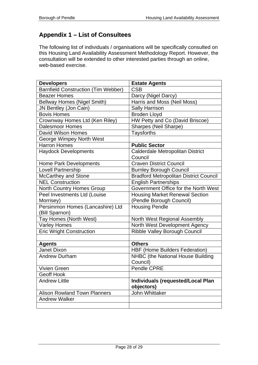## **Appendix 1 – List of Consultees**

The following list of individuals / organisations will be specifically consulted on this Housing Land Availability Assessment Methodology Report. However, the consultation will be extended to other interested parties through an online, web-based exercise.

| <b>Developers</b>                          | <b>Estate Agents</b>                                   |
|--------------------------------------------|--------------------------------------------------------|
| <b>Barnfield Construction (Tim Webber)</b> | <b>CSB</b>                                             |
| <b>Beazer Homes</b>                        | Darcy (Nigel Darcy)                                    |
| <b>Bellway Homes (Nigel Smith)</b>         | Harris and Moss (Neil Moss)                            |
| JN Bentley (Jon Cain)                      | <b>Sally Harrison</b>                                  |
| <b>Bovis Homes</b>                         | <b>Broden Lloyd</b>                                    |
| Crownway Homes Ltd (Ken Riley)             | HW Petty and Co (David Briscoe)                        |
| <b>Dalesmoor Homes</b>                     | Sharpes (Neil Sharpe)                                  |
| David Wilson Homes                         | <b>Taysforths</b>                                      |
| George Wimpey North West                   |                                                        |
| Harron Homes                               | <b>Public Sector</b>                                   |
| <b>Haydock Developments</b>                | Calderdale Metropolitan District                       |
|                                            | Council                                                |
| <b>Home Park Developments</b>              | <b>Craven District Council</b>                         |
| <b>Lovell Partnership</b>                  | <b>Burnley Borough Council</b>                         |
| McCarthey and Stone                        | <b>Bradford Metropolitan District Council</b>          |
| <b>NEL Construction</b>                    | <b>English Partnerships</b>                            |
| <b>North Country Homes Group</b>           | Government Office for the North West                   |
| Peel Investments Ltd (Louise               | <b>Housing Market Renewal Section</b>                  |
| Morrisey)                                  | (Pendle Borough Council)                               |
| Persimmon Homes (Lancashire) Ltd           | <b>Housing Pendle</b>                                  |
| (Bill Sparnon)                             |                                                        |
| Tay Homes (North West)                     | North West Regional Assembly                           |
| <b>Varley Homes</b>                        | North West Development Agency                          |
| <b>Eric Wright Construction</b>            | <b>Ribble Valley Borough Council</b>                   |
|                                            |                                                        |
| <b>Agents</b>                              | <b>Others</b>                                          |
| Janet Dixon                                | <b>HBF (Home Builders Federation)</b>                  |
| <b>Andrew Durham</b>                       | NHBC (the National House Building                      |
|                                            | Council)                                               |
| <b>Vivien Green</b>                        | Pendle CPRE                                            |
| Geoff Hook                                 |                                                        |
| <b>Andrew Little</b>                       | <b>Individuals (requested/Local Plan</b><br>objectors) |
| <b>Alison Rowland Town Planners</b>        | John Whittaker                                         |
| <b>Andrew Walker</b>                       |                                                        |
|                                            |                                                        |